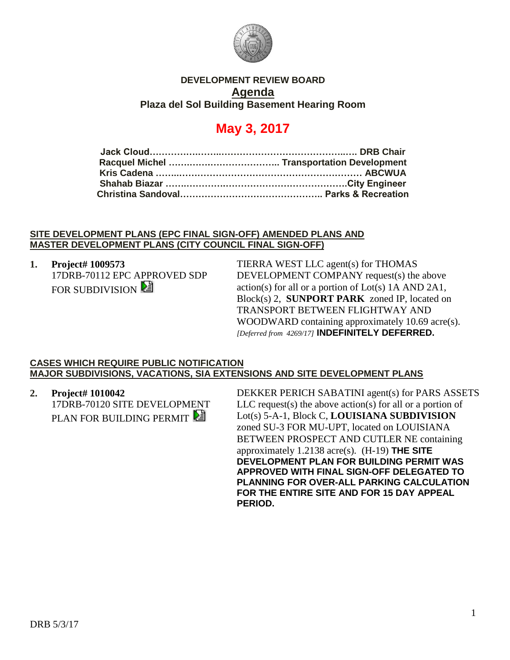

## **DEVELOPMENT REVIEW BOARD Agenda Plaza del Sol Building Basement Hearing Room**

# **May 3, 2017**

### **SITE DEVELOPMENT PLANS (EPC FINAL SIGN-OFF) AMENDED PLANS AND MASTER DEVELOPMENT PLANS (CITY COUNCIL FINAL SIGN-OFF)**

# **1. Project# 1009573**

17DRB-70112 EPC APPROVED SDP FOR SUBDIVISION **E** 

TIERRA WEST LLC agent(s) for THOMAS DEVELOPMENT COMPANY request(s) the above action(s) for all or a portion of Lot(s) 1A AND 2A1, Block(s) 2, **SUNPORT PARK** zoned IP, located on TRANSPORT BETWEEN FLIGHTWAY AND WOODWARD containing approximately 10.69 acre(s). *[Deferred from 4269/17]* **INDEFINITELY DEFERRED.**

#### **CASES WHICH REQUIRE PUBLIC NOTIFICATION MAJOR SUBDIVISIONS, VACATIONS, SIA EXTENSIONS AND SITE DEVELOPMENT PLANS**

**2. Project# 1010042** 17DRB-70120 SITE DEVELOPMENT PLAN FOR BUILDING PERMIT

DEKKER PERICH SABATINI agent(s) for PARS ASSETS LLC request(s) the above action(s) for all or a portion of Lot(s) 5-A-1, Block C, **LOUISIANA SUBDIVISION** zoned SU-3 FOR MU-UPT, located on LOUISIANA BETWEEN PROSPECT AND CUTLER NE containing approximately 1.2138 acre(s). (H-19) **THE SITE DEVELOPMENT PLAN FOR BUILDING PERMIT WAS APPROVED WITH FINAL SIGN-OFF DELEGATED TO PLANNING FOR OVER-ALL PARKING CALCULATION FOR THE ENTIRE SITE AND FOR 15 DAY APPEAL PERIOD.**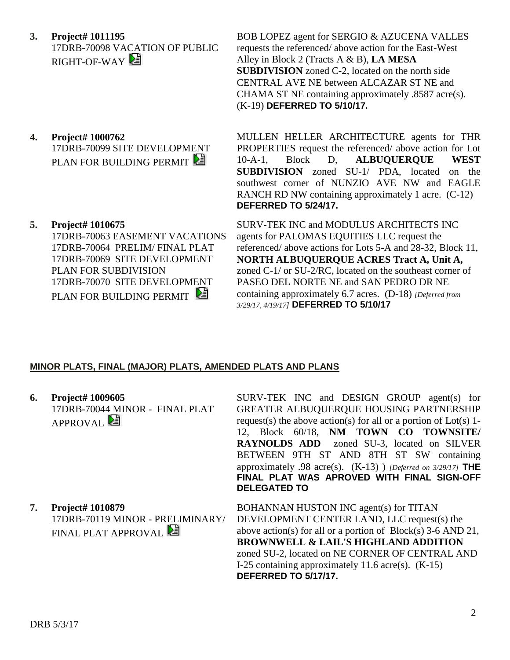- **3. Project# 1011195** 17DRB-70098 VACATION OF PUBLIC RIGHT-OF-WAY
- requests the referenced/ above action for the East-West Alley in Block 2 (Tracts A & B), **LA MESA SUBDIVISION** zoned C-2, located on the north side CENTRAL AVE NE between ALCAZAR ST NE and CHAMA ST NE containing approximately .8587 acre(s). (K-19) **DEFERRED TO 5/10/17.**

BOB LOPEZ agent for SERGIO & AZUCENA VALLES

- **4. Project# 1000762** 17DRB-70099 SITE DEVELOPMENT PLAN FOR BUILDING PERMIT
- **5. Project# 1010675**

17DRB-70063 EASEMENT VACATIONS 17DRB-70064 PRELIM/ FINAL PLAT 17DRB-70069 SITE DEVELOPMENT PLAN FOR SUBDIVISION 17DRB-70070 SITE DEVELOPMENT PLAN FOR BUILDING PERMIT

MULLEN HELLER ARCHITECTURE agents for THR PROPERTIES request the referenced/ above action for Lot 10-A-1, Block D, **ALBUQUERQUE WEST SUBDIVISION** zoned SU-1/ PDA, located on the southwest corner of NUNZIO AVE NW and EAGLE RANCH RD NW containing approximately 1 acre. (C-12) **DEFERRED TO 5/24/17.**

SURV-TEK INC and MODULUS ARCHITECTS INC agents for PALOMAS EQUITIES LLC request the referenced/ above actions for Lots 5-A and 28-32, Block 11, **NORTH ALBUQUERQUE ACRES Tract A, Unit A,** zoned C-1/ or SU-2/RC, located on the southeast corner of PASEO DEL NORTE NE and SAN PEDRO DR NE containing approximately 6.7 acres. (D-18) *[Deferred from 3/29/17, 4/19/17]* **DEFERRED TO 5/10/17**

## **MINOR PLATS, FINAL (MAJOR) PLATS, AMENDED PLATS AND PLANS**

**6. Project# 1009605** 17DRB-70044 MINOR - FINAL PLAT APPROVAL<sup>[24]</sup>

SURV-TEK INC and DESIGN GROUP agent(s) for GREATER ALBUQUERQUE HOUSING PARTNERSHIP request(s) the above action(s) for all or a portion of Lot(s) 1- 12, Block 60/18, **NM TOWN CO TOWNSITE/ RAYNOLDS ADD** zoned SU-3, located on SILVER BETWEEN 9TH ST AND 8TH ST SW containing approximately .98 acre(s). (K-13) ) *[Deferred on 3/29/17]* **THE FINAL PLAT WAS APROVED WITH FINAL SIGN-OFF DELEGATED TO**

**7. Project# 1010879**

17DRB-70119 MINOR - PRELIMINARY/ FINAL PLAT APPROVAL **E** 

BOHANNAN HUSTON INC agent(s) for TITAN DEVELOPMENT CENTER LAND, LLC request(s) the above action(s) for all or a portion of Block(s) 3-6 AND 21, **BROWNWELL & LAIL'S HIGHLAND ADDITION** zoned SU-2, located on NE CORNER OF CENTRAL AND I-25 containing approximately 11.6 acre(s). (K-15) **DEFERRED TO 5/17/17.**